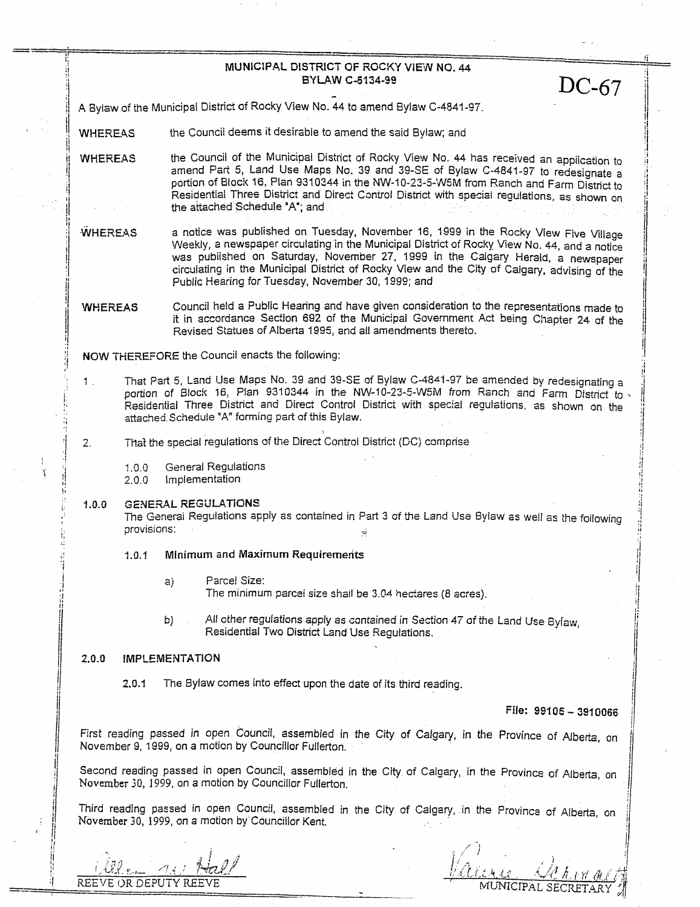# MUNICIPAL DISTRICT OF ROCKY VIEW NO. 44 **BYLAW c-5134-99**

,4 Eyiaw *or"* the Municipal District of Rocky View No. **44** to amend Eylavv C-4841-9'7.

**WHEREAS** the Council deems it desirable to amend the said Bylaw; and

WHEREAS the Council of the Municipal District of Rocky View No. 44 has received an application to amend Part. 5, **Land Use Maps No- 39** and 39-SE of Bylaw C-4841-97 to redesignate <sup>a</sup> portion of Block 16. Plan 9310344 in the NW-10-23-5-W5M from Ranch and Farm District to Residentid Thres Disiric: ana Direct Canuoi District With **special** regulations, **as** shown on the attached Schedule "A"; and

a notics was published on Tuesday, November 16, 1999 in the Rocky View Five Village Weekly, a newspaper circulating in the Municipal District of Rocky View No. 44, and a notice was pubiished on Saturday, November 27, 1999 in the Calgary **Herald,** a newspaper circulating in the Municipal District of Rocky View and the City of Calgary, advising of the public Hearing for Tuesday, November **30,** 1999; and **WHEREAS** 

WHEREAS Council held a Public Hearing and have given consideration to the representations made to it in accordance Section 692 of **tha** Municipal Government Act being Chapter **24 of** the Revised Statues of Alberta 1995, and all amendments thereto.

NOW THEREFORE the Council enacts the following:

That Part 5, Land Use Maps No. 39 and 39-SE of Bylaw C-4841-97 be amended by redesignating a 1. portion of Block 16, Plan 9310344 in the NW-10-23-5-W5M from Ranch and Farm District to Residential Three District and Direct Control District with special regulations, as shown on the attached Schedule "A" forming part of this Bylaw.

That the special regulations of the Direct Control District (DC) comprise 2.

> $1.0.0$ General Regulations

Implementation  $2.0.0$ 

## **GENERAL REGULATIONS <sup>4</sup>***.o.o*

The General Regulations apply as contained in Part 3 of the Land Use Bylaw as well as the following provisions:

#### Minimum and Maximum Requirements  $1.0.1$

**aj** Parcel Size:

The minimum parcel size shall be 3.04 hectares (8 acres).

All other regulations apply as contained in Section 47 of the Land Use Bylaw. Residential Two District Land **Use** Regulations.  $b)$ 

### **2.0.0 IMPLEMENTATION**

**2.0.4** The Bylaw comes into effect upon the **date** of its third reading.

## **File: 991 05** - **<sup>394</sup>***<sup>0066</sup>*

DC-67

First reading passed in open Council, assembled in the City of Calgary, in the Province of Alberta, on November 9, 1999, on a motion by Councillor Fullerton.

Second reading passed in open Council, assembled in the City of Calgary, in the Province of Alberta, on November 30, 1999, on a motion by Councillor Fullerton.

Third reading **passed** in open Council, **assembled** in the City of Calgary, .in the Province of Alberta, on November 30, 1999, on a motion by Councillor Kent.